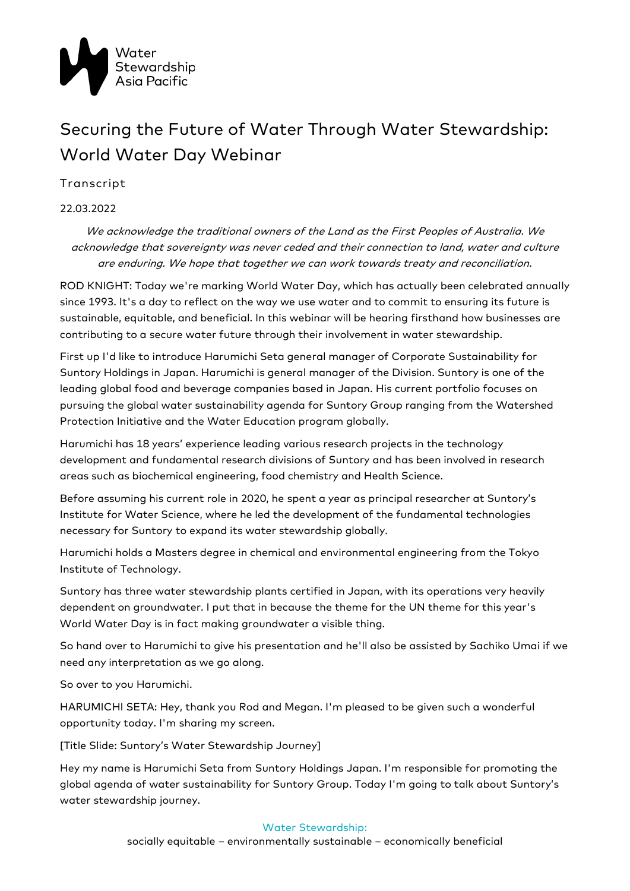

## Securing the Future of Water Through Water Stewardship: World Water Day Webinar

Transcript

22.03.2022

We acknowledge the traditional owners of the Land as the First Peoples of Australia. We acknowledge that sovereignty was never ceded and their connection to land, water and culture are enduring. We hope that together we can work towards treaty and reconciliation.

ROD KNIGHT: Today we're marking World Water Day, which has actually been celebrated annually since 1993. It's a day to reflect on the way we use water and to commit to ensuring its future is sustainable, equitable, and beneficial. In this webinar will be hearing firsthand how businesses are contributing to a secure water future through their involvement in water stewardship.

First up I'd like to introduce Harumichi Seta general manager of Corporate Sustainability for Suntory Holdings in Japan. Harumichi is general manager of the Division. Suntory is one of the leading global food and beverage companies based in Japan. His current portfolio focuses on pursuing the global water sustainability agenda for Suntory Group ranging from the Watershed Protection Initiative and the Water Education program globally.

Harumichi has 18 years' experience leading various research projects in the technology development and fundamental research divisions of Suntory and has been involved in research areas such as biochemical engineering, food chemistry and Health Science.

Before assuming his current role in 2020, he spent a year as principal researcher at Suntory's Institute for Water Science, where he led the development of the fundamental technologies necessary for Suntory to expand its water stewardship globally.

Harumichi holds a Masters degree in chemical and environmental engineering from the Tokyo Institute of Technology.

Suntory has three water stewardship plants certified in Japan, with its operations very heavily dependent on groundwater. I put that in because the theme for the UN theme for this year's World Water Day is in fact making groundwater a visible thing.

So hand over to Harumichi to give his presentation and he'll also be assisted by Sachiko Umai if we need any interpretation as we go along.

So over to you Harumichi.

HARUMICHI SETA: Hey, thank you Rod and Megan. I'm pleased to be given such a wonderful opportunity today. I'm sharing my screen.

[Title Slide: Suntory's Water Stewardship Journey]

Hey my name is Harumichi Seta from Suntory Holdings Japan. I'm responsible for promoting the global agenda of water sustainability for Suntory Group. Today I'm going to talk about Suntory's water stewardship journey.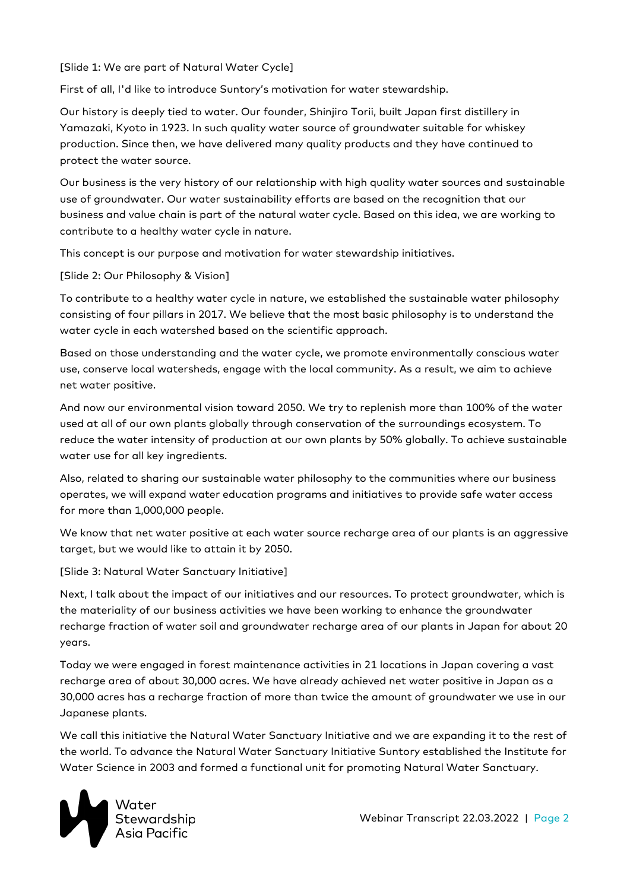[Slide 1: We are part of Natural Water Cycle]

First of all, I'd like to introduce Suntory's motivation for water stewardship.

Our history is deeply tied to water. Our founder, Shinjiro Torii, built Japan first distillery in Yamazaki, Kyoto in 1923. In such quality water source of groundwater suitable for whiskey production. Since then, we have delivered many quality products and they have continued to protect the water source.

Our business is the very history of our relationship with high quality water sources and sustainable use of groundwater. Our water sustainability efforts are based on the recognition that our business and value chain is part of the natural water cycle. Based on this idea, we are working to contribute to a healthy water cycle in nature.

This concept is our purpose and motivation for water stewardship initiatives.

[Slide 2: Our Philosophy & Vision]

To contribute to a healthy water cycle in nature, we established the sustainable water philosophy consisting of four pillars in 2017. We believe that the most basic philosophy is to understand the water cycle in each watershed based on the scientific approach.

Based on those understanding and the water cycle, we promote environmentally conscious water use, conserve local watersheds, engage with the local community. As a result, we aim to achieve net water positive.

And now our environmental vision toward 2050. We try to replenish more than 100% of the water used at all of our own plants globally through conservation of the surroundings ecosystem. To reduce the water intensity of production at our own plants by 50% globally. To achieve sustainable water use for all key ingredients.

Also, related to sharing our sustainable water philosophy to the communities where our business operates, we will expand water education programs and initiatives to provide safe water access for more than 1,000,000 people.

We know that net water positive at each water source recharge area of our plants is an aggressive target, but we would like to attain it by 2050.

[Slide 3: Natural Water Sanctuary Initiative]

Next, I talk about the impact of our initiatives and our resources. To protect groundwater, which is the materiality of our business activities we have been working to enhance the groundwater recharge fraction of water soil and groundwater recharge area of our plants in Japan for about 20 years.

Today we were engaged in forest maintenance activities in 21 locations in Japan covering a vast recharge area of about 30,000 acres. We have already achieved net water positive in Japan as a 30,000 acres has a recharge fraction of more than twice the amount of groundwater we use in our Japanese plants.

We call this initiative the Natural Water Sanctuary Initiative and we are expanding it to the rest of the world. To advance the Natural Water Sanctuary Initiative Suntory established the Institute for Water Science in 2003 and formed a functional unit for promoting Natural Water Sanctuary.

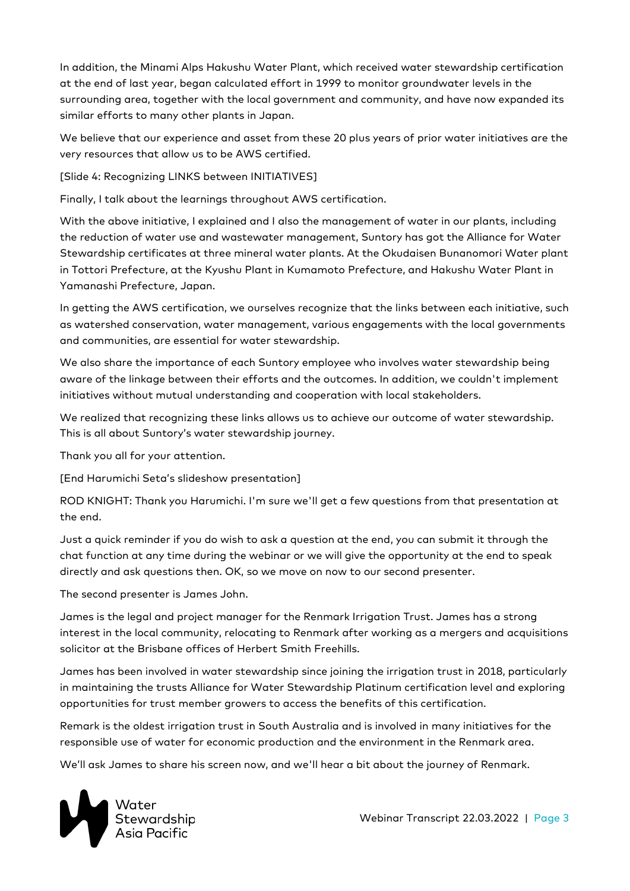In addition, the Minami Alps Hakushu Water Plant, which received water stewardship certification at the end of last year, began calculated effort in 1999 to monitor groundwater levels in the surrounding area, together with the local government and community, and have now expanded its similar efforts to many other plants in Japan.

We believe that our experience and asset from these 20 plus years of prior water initiatives are the very resources that allow us to be AWS certified.

[Slide 4: Recognizing LINKS between INITIATIVES]

Finally, I talk about the learnings throughout AWS certification.

With the above initiative, I explained and I also the management of water in our plants, including the reduction of water use and wastewater management, Suntory has got the Alliance for Water Stewardship certificates at three mineral water plants. At the Okudaisen Bunanomori Water plant in Tottori Prefecture, at the Kyushu Plant in Kumamoto Prefecture, and Hakushu Water Plant in Yamanashi Prefecture, Japan.

In getting the AWS certification, we ourselves recognize that the links between each initiative, such as watershed conservation, water management, various engagements with the local governments and communities, are essential for water stewardship.

We also share the importance of each Suntory employee who involves water stewardship being aware of the linkage between their efforts and the outcomes. In addition, we couldn't implement initiatives without mutual understanding and cooperation with local stakeholders.

We realized that recognizing these links allows us to achieve our outcome of water stewardship. This is all about Suntory's water stewardship journey.

Thank you all for your attention.

[End Harumichi Seta's slideshow presentation]

ROD KNIGHT: Thank you Harumichi. I'm sure we'll get a few questions from that presentation at the end.

Just a quick reminder if you do wish to ask a question at the end, you can submit it through the chat function at any time during the webinar or we will give the opportunity at the end to speak directly and ask questions then. OK, so we move on now to our second presenter.

The second presenter is James John.

James is the legal and project manager for the Renmark Irrigation Trust. James has a strong interest in the local community, relocating to Renmark after working as a mergers and acquisitions solicitor at the Brisbane offices of Herbert Smith Freehills.

James has been involved in water stewardship since joining the irrigation trust in 2018, particularly in maintaining the trusts Alliance for Water Stewardship Platinum certification level and exploring opportunities for trust member growers to access the benefits of this certification.

Remark is the oldest irrigation trust in South Australia and is involved in many initiatives for the responsible use of water for economic production and the environment in the Renmark area.

We'll ask James to share his screen now, and we'll hear a bit about the journey of Renmark.

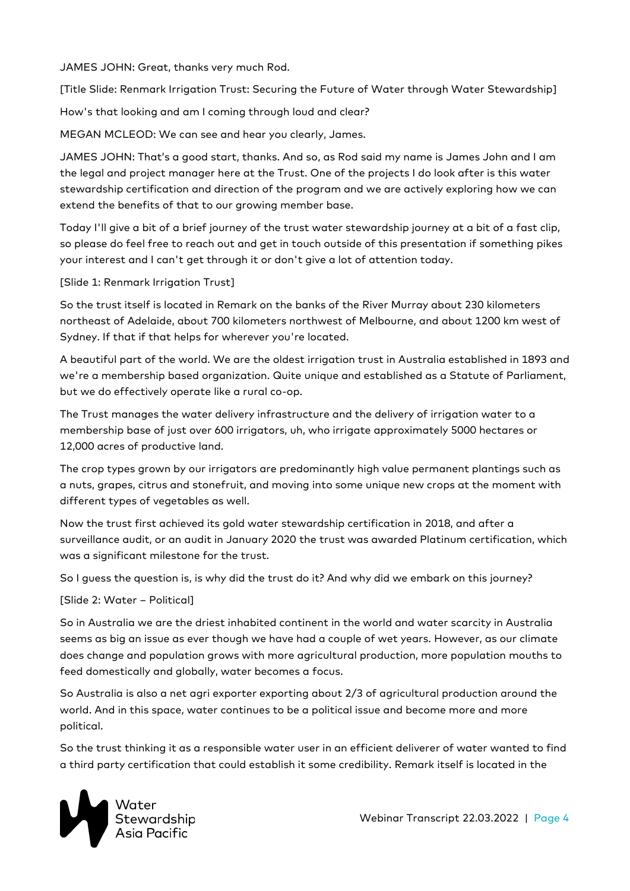JAMES JOHN: Great, thanks very much Rod.

[Title Slide: Renmark Irrigation Trust: Securing the Future of Water through Water Stewardship]

How's that looking and am I coming through loud and clear?

MEGAN MCLEOD: We can see and hear you clearly, James.

JAMES JOHN: That's a good start, thanks. And so, as Rod said my name is James John and I am the legal and project manager here at the Trust. One of the projects I do look after is this water stewardship certification and direction of the program and we are actively exploring how we can extend the benefits of that to our growing member base.

Today I'll give a bit of a brief journey of the trust water stewardship journey at a bit of a fast clip, so please do feel free to reach out and get in touch outside of this presentation if something pikes your interest and I can't get through it or don't give a lot of attention today.

## [Slide 1: Renmark Irrigation Trust]

So the trust itself is located in Remark on the banks of the River Murray about 230 kilometers northeast of Adelaide, about 700 kilometers northwest of Melbourne, and about 1200 km west of Sydney. If that if that helps for wherever you're located.

A beautiful part of the world. We are the oldest irrigation trust in Australia established in 1893 and we're a membership based organization. Quite unique and established as a Statute of Parliament, but we do effectively operate like a rural co-op.

The Trust manages the water delivery infrastructure and the delivery of irrigation water to a membership base of just over 600 irrigators, uh, who irrigate approximately 5000 hectares or 12,000 acres of productive land.

The crop types grown by our irrigators are predominantly high value permanent plantings such as a nuts, grapes, citrus and stonefruit, and moving into some unique new crops at the moment with different types of vegetables as well.

Now the trust first achieved its gold water stewardship certification in 2018, and after a surveillance audit, or an audit in January 2020 the trust was awarded Platinum certification, which was a significant milestone for the trust.

So I guess the question is, is why did the trust do it? And why did we embark on this journey?

## [Slide 2: Water – Political]

So in Australia we are the driest inhabited continent in the world and water scarcity in Australia seems as big an issue as ever though we have had a couple of wet years. However, as our climate does change and population grows with more agricultural production, more population mouths to feed domestically and globally, water becomes a focus.

So Australia is also a net agri exporter exporting about 2/3 of agricultural production around the world. And in this space, water continues to be a political issue and become more and more political.

So the trust thinking it as a responsible water user in an efficient deliverer of water wanted to find a third party certification that could establish it some credibility. Remark itself is located in the

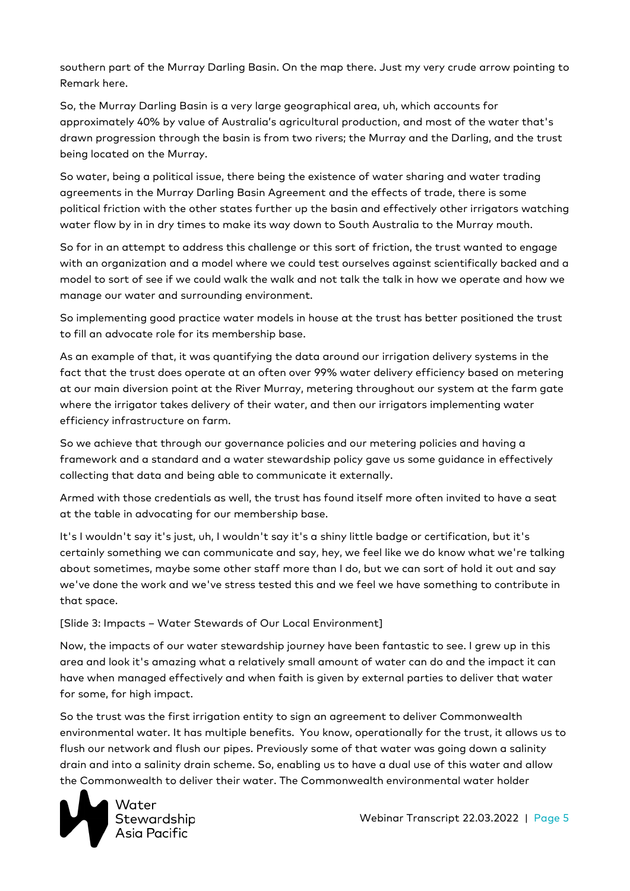southern part of the Murray Darling Basin. On the map there. Just my very crude arrow pointing to Remark here.

So, the Murray Darling Basin is a very large geographical area, uh, which accounts for approximately 40% by value of Australia's agricultural production, and most of the water that's drawn progression through the basin is from two rivers; the Murray and the Darling, and the trust being located on the Murray.

So water, being a political issue, there being the existence of water sharing and water trading agreements in the Murray Darling Basin Agreement and the effects of trade, there is some political friction with the other states further up the basin and effectively other irrigators watching water flow by in in dry times to make its way down to South Australia to the Murray mouth.

So for in an attempt to address this challenge or this sort of friction, the trust wanted to engage with an organization and a model where we could test ourselves against scientifically backed and a model to sort of see if we could walk the walk and not talk the talk in how we operate and how we manage our water and surrounding environment.

So implementing good practice water models in house at the trust has better positioned the trust to fill an advocate role for its membership base.

As an example of that, it was quantifying the data around our irrigation delivery systems in the fact that the trust does operate at an often over 99% water delivery efficiency based on metering at our main diversion point at the River Murray, metering throughout our system at the farm gate where the irrigator takes delivery of their water, and then our irrigators implementing water efficiency infrastructure on farm.

So we achieve that through our governance policies and our metering policies and having a framework and a standard and a water stewardship policy gave us some guidance in effectively collecting that data and being able to communicate it externally.

Armed with those credentials as well, the trust has found itself more often invited to have a seat at the table in advocating for our membership base.

It's I wouldn't say it's just, uh, I wouldn't say it's a shiny little badge or certification, but it's certainly something we can communicate and say, hey, we feel like we do know what we're talking about sometimes, maybe some other staff more than I do, but we can sort of hold it out and say we've done the work and we've stress tested this and we feel we have something to contribute in that space.

[Slide 3: Impacts – Water Stewards of Our Local Environment]

Now, the impacts of our water stewardship journey have been fantastic to see. I grew up in this area and look it's amazing what a relatively small amount of water can do and the impact it can have when managed effectively and when faith is given by external parties to deliver that water for some, for high impact.

So the trust was the first irrigation entity to sign an agreement to deliver Commonwealth environmental water. It has multiple benefits. You know, operationally for the trust, it allows us to flush our network and flush our pipes. Previously some of that water was going down a salinity drain and into a salinity drain scheme. So, enabling us to have a dual use of this water and allow the Commonwealth to deliver their water. The Commonwealth environmental water holder

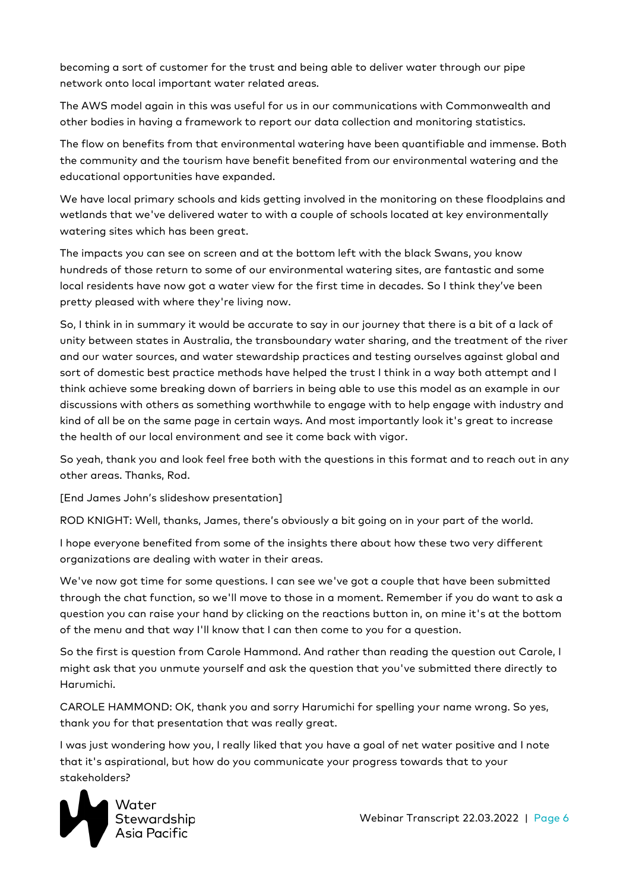becoming a sort of customer for the trust and being able to deliver water through our pipe network onto local important water related areas.

The AWS model again in this was useful for us in our communications with Commonwealth and other bodies in having a framework to report our data collection and monitoring statistics.

The flow on benefits from that environmental watering have been quantifiable and immense. Both the community and the tourism have benefit benefited from our environmental watering and the educational opportunities have expanded.

We have local primary schools and kids getting involved in the monitoring on these floodplains and wetlands that we've delivered water to with a couple of schools located at key environmentally watering sites which has been great.

The impacts you can see on screen and at the bottom left with the black Swans, you know hundreds of those return to some of our environmental watering sites, are fantastic and some local residents have now got a water view for the first time in decades. So I think they've been pretty pleased with where they're living now.

So, I think in in summary it would be accurate to say in our journey that there is a bit of a lack of unity between states in Australia, the transboundary water sharing, and the treatment of the river and our water sources, and water stewardship practices and testing ourselves against global and sort of domestic best practice methods have helped the trust I think in a way both attempt and I think achieve some breaking down of barriers in being able to use this model as an example in our discussions with others as something worthwhile to engage with to help engage with industry and kind of all be on the same page in certain ways. And most importantly look it's great to increase the health of our local environment and see it come back with vigor.

So yeah, thank you and look feel free both with the questions in this format and to reach out in any other areas. Thanks, Rod.

[End James John's slideshow presentation]

ROD KNIGHT: Well, thanks, James, there's obviously a bit going on in your part of the world.

I hope everyone benefited from some of the insights there about how these two very different organizations are dealing with water in their areas.

We've now got time for some questions. I can see we've got a couple that have been submitted through the chat function, so we'll move to those in a moment. Remember if you do want to ask a question you can raise your hand by clicking on the reactions button in, on mine it's at the bottom of the menu and that way I'll know that I can then come to you for a question.

So the first is question from Carole Hammond. And rather than reading the question out Carole, I might ask that you unmute yourself and ask the question that you've submitted there directly to Harumichi.

CAROLE HAMMOND: OK, thank you and sorry Harumichi for spelling your name wrong. So yes, thank you for that presentation that was really great.

I was just wondering how you, I really liked that you have a goal of net water positive and I note that it's aspirational, but how do you communicate your progress towards that to your stakeholders?

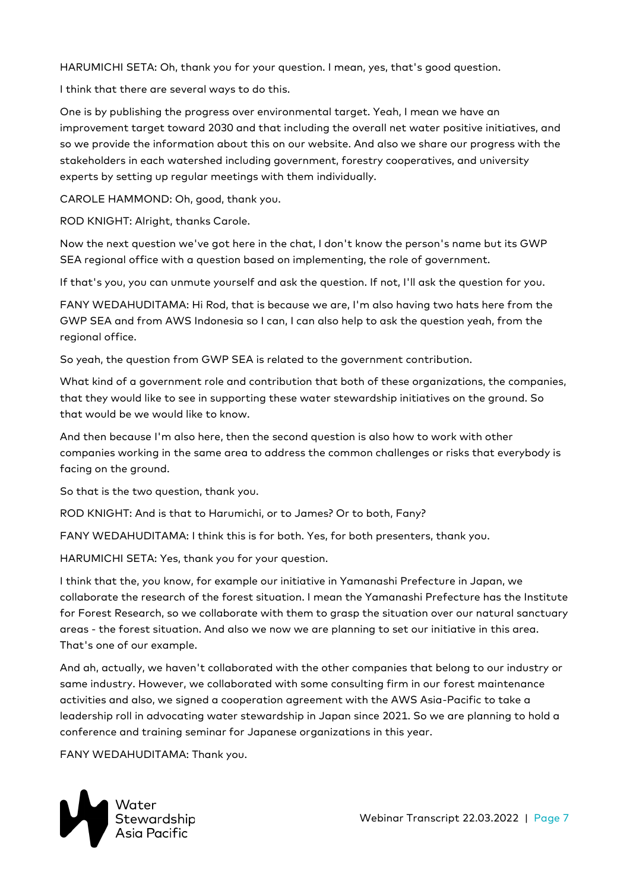HARUMICHI SETA: Oh, thank you for your question. I mean, yes, that's good question.

I think that there are several ways to do this.

One is by publishing the progress over environmental target. Yeah, I mean we have an improvement target toward 2030 and that including the overall net water positive initiatives, and so we provide the information about this on our website. And also we share our progress with the stakeholders in each watershed including government, forestry cooperatives, and university experts by setting up regular meetings with them individually.

CAROLE HAMMOND: Oh, good, thank you.

ROD KNIGHT: Alright, thanks Carole.

Now the next question we've got here in the chat, I don't know the person's name but its GWP SEA regional office with a question based on implementing, the role of government.

If that's you, you can unmute yourself and ask the question. If not, I'll ask the question for you.

FANY WEDAHUDITAMA: Hi Rod, that is because we are, I'm also having two hats here from the GWP SEA and from AWS Indonesia so I can, I can also help to ask the question yeah, from the regional office.

So yeah, the question from GWP SEA is related to the government contribution.

What kind of a government role and contribution that both of these organizations, the companies, that they would like to see in supporting these water stewardship initiatives on the ground. So that would be we would like to know.

And then because I'm also here, then the second question is also how to work with other companies working in the same area to address the common challenges or risks that everybody is facing on the ground.

So that is the two question, thank you.

ROD KNIGHT: And is that to Harumichi, or to James? Or to both, Fany?

FANY WEDAHUDITAMA: I think this is for both. Yes, for both presenters, thank you.

HARUMICHI SETA: Yes, thank you for your question.

I think that the, you know, for example our initiative in Yamanashi Prefecture in Japan, we collaborate the research of the forest situation. I mean the Yamanashi Prefecture has the Institute for Forest Research, so we collaborate with them to grasp the situation over our natural sanctuary areas - the forest situation. And also we now we are planning to set our initiative in this area. That's one of our example.

And ah, actually, we haven't collaborated with the other companies that belong to our industry or same industry. However, we collaborated with some consulting firm in our forest maintenance activities and also, we signed a cooperation agreement with the AWS Asia-Pacific to take a leadership roll in advocating water stewardship in Japan since 2021. So we are planning to hold a conference and training seminar for Japanese organizations in this year.

FANY WEDAHUDITAMA: Thank you.

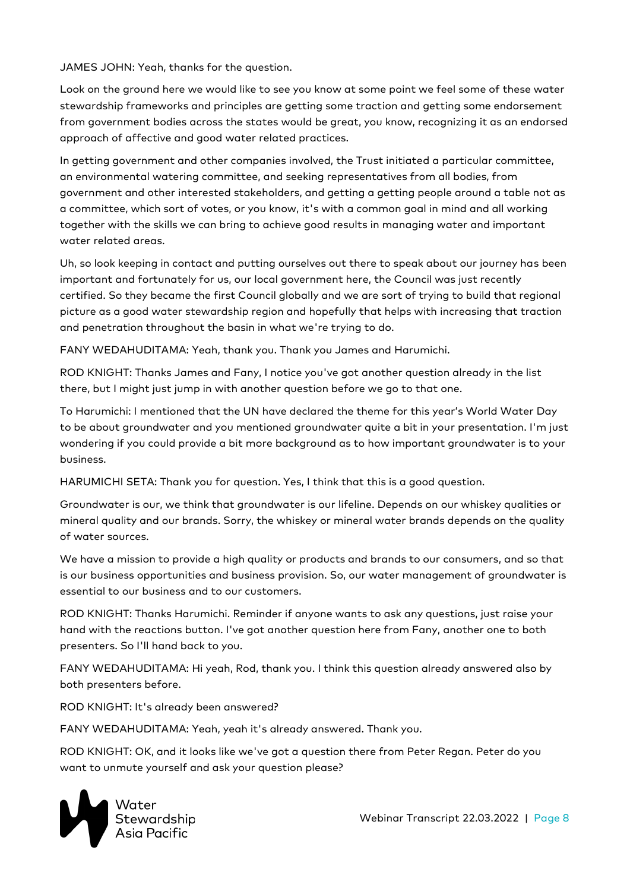JAMES JOHN: Yeah, thanks for the question.

Look on the ground here we would like to see you know at some point we feel some of these water stewardship frameworks and principles are getting some traction and getting some endorsement from government bodies across the states would be great, you know, recognizing it as an endorsed approach of affective and good water related practices.

In getting government and other companies involved, the Trust initiated a particular committee, an environmental watering committee, and seeking representatives from all bodies, from government and other interested stakeholders, and getting a getting people around a table not as a committee, which sort of votes, or you know, it's with a common goal in mind and all working together with the skills we can bring to achieve good results in managing water and important water related areas.

Uh, so look keeping in contact and putting ourselves out there to speak about our journey has been important and fortunately for us, our local government here, the Council was just recently certified. So they became the first Council globally and we are sort of trying to build that regional picture as a good water stewardship region and hopefully that helps with increasing that traction and penetration throughout the basin in what we're trying to do.

FANY WEDAHUDITAMA: Yeah, thank you. Thank you James and Harumichi.

ROD KNIGHT: Thanks James and Fany, I notice you've got another question already in the list there, but I might just jump in with another question before we go to that one.

To Harumichi: I mentioned that the UN have declared the theme for this year's World Water Day to be about groundwater and you mentioned groundwater quite a bit in your presentation. I'm just wondering if you could provide a bit more background as to how important groundwater is to your business.

HARUMICHI SETA: Thank you for question. Yes, I think that this is a good question.

Groundwater is our, we think that groundwater is our lifeline. Depends on our whiskey qualities or mineral quality and our brands. Sorry, the whiskey or mineral water brands depends on the quality of water sources.

We have a mission to provide a high quality or products and brands to our consumers, and so that is our business opportunities and business provision. So, our water management of groundwater is essential to our business and to our customers.

ROD KNIGHT: Thanks Harumichi. Reminder if anyone wants to ask any questions, just raise your hand with the reactions button. I've got another question here from Fany, another one to both presenters. So I'll hand back to you.

FANY WEDAHUDITAMA: Hi yeah, Rod, thank you. I think this question already answered also by both presenters before.

ROD KNIGHT: It's already been answered?

FANY WEDAHUDITAMA: Yeah, yeah it's already answered. Thank you.

ROD KNIGHT: OK, and it looks like we've got a question there from Peter Regan. Peter do you want to unmute yourself and ask your question please?

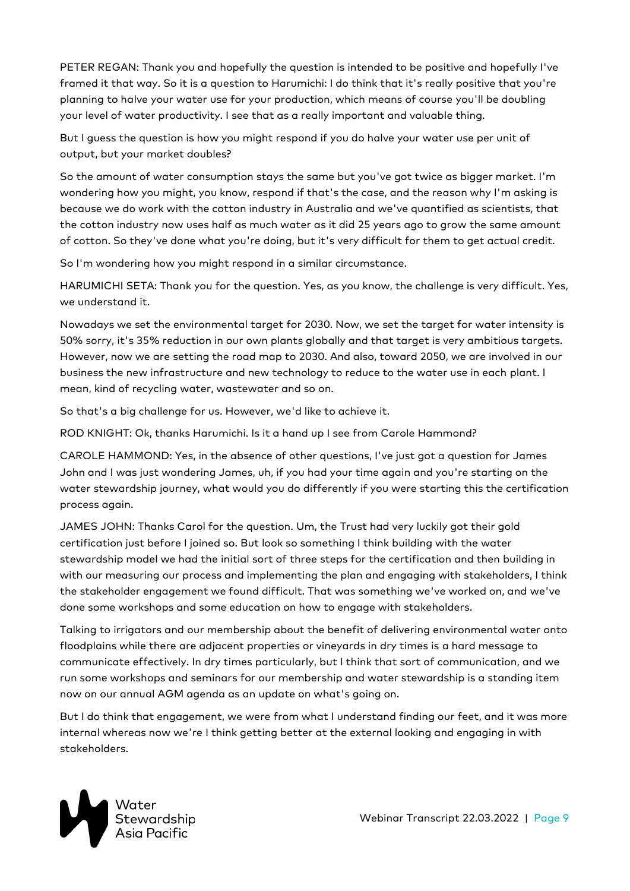PETER REGAN: Thank you and hopefully the question is intended to be positive and hopefully I've framed it that way. So it is a question to Harumichi: I do think that it's really positive that you're planning to halve your water use for your production, which means of course you'll be doubling your level of water productivity. I see that as a really important and valuable thing.

But I guess the question is how you might respond if you do halve your water use per unit of output, but your market doubles?

So the amount of water consumption stays the same but you've got twice as bigger market. I'm wondering how you might, you know, respond if that's the case, and the reason why I'm asking is because we do work with the cotton industry in Australia and we've quantified as scientists, that the cotton industry now uses half as much water as it did 25 years ago to grow the same amount of cotton. So they've done what you're doing, but it's very difficult for them to get actual credit.

So I'm wondering how you might respond in a similar circumstance.

HARUMICHI SETA: Thank you for the question. Yes, as you know, the challenge is very difficult. Yes, we understand it.

Nowadays we set the environmental target for 2030. Now, we set the target for water intensity is 50% sorry, it's 35% reduction in our own plants globally and that target is very ambitious targets. However, now we are setting the road map to 2030. And also, toward 2050, we are involved in our business the new infrastructure and new technology to reduce to the water use in each plant. I mean, kind of recycling water, wastewater and so on.

So that's a big challenge for us. However, we'd like to achieve it.

ROD KNIGHT: Ok, thanks Harumichi. Is it a hand up I see from Carole Hammond?

CAROLE HAMMOND: Yes, in the absence of other questions, I've just got a question for James John and I was just wondering James, uh, if you had your time again and you're starting on the water stewardship journey, what would you do differently if you were starting this the certification process again.

JAMES JOHN: Thanks Carol for the question. Um, the Trust had very luckily got their gold certification just before I joined so. But look so something I think building with the water stewardship model we had the initial sort of three steps for the certification and then building in with our measuring our process and implementing the plan and engaging with stakeholders, I think the stakeholder engagement we found difficult. That was something we've worked on, and we've done some workshops and some education on how to engage with stakeholders.

Talking to irrigators and our membership about the benefit of delivering environmental water onto floodplains while there are adjacent properties or vineyards in dry times is a hard message to communicate effectively. In dry times particularly, but I think that sort of communication, and we run some workshops and seminars for our membership and water stewardship is a standing item now on our annual AGM agenda as an update on what's going on.

But I do think that engagement, we were from what I understand finding our feet, and it was more internal whereas now we're I think getting better at the external looking and engaging in with stakeholders.

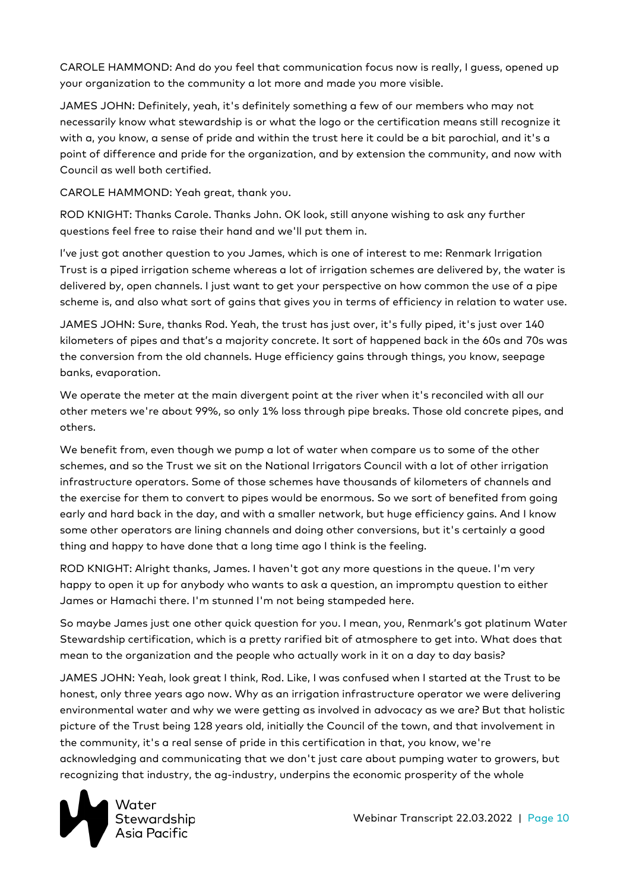CAROLE HAMMOND: And do you feel that communication focus now is really, I guess, opened up your organization to the community a lot more and made you more visible.

JAMES JOHN: Definitely, yeah, it's definitely something a few of our members who may not necessarily know what stewardship is or what the logo or the certification means still recognize it with a, you know, a sense of pride and within the trust here it could be a bit parochial, and it's a point of difference and pride for the organization, and by extension the community, and now with Council as well both certified.

CAROLE HAMMOND: Yeah great, thank you.

ROD KNIGHT: Thanks Carole. Thanks John. OK look, still anyone wishing to ask any further questions feel free to raise their hand and we'll put them in.

I've just got another question to you James, which is one of interest to me: Renmark Irrigation Trust is a piped irrigation scheme whereas a lot of irrigation schemes are delivered by, the water is delivered by, open channels. I just want to get your perspective on how common the use of a pipe scheme is, and also what sort of gains that gives you in terms of efficiency in relation to water use.

JAMES JOHN: Sure, thanks Rod. Yeah, the trust has just over, it's fully piped, it's just over 140 kilometers of pipes and that's a majority concrete. It sort of happened back in the 60s and 70s was the conversion from the old channels. Huge efficiency gains through things, you know, seepage banks, evaporation.

We operate the meter at the main divergent point at the river when it's reconciled with all our other meters we're about 99%, so only 1% loss through pipe breaks. Those old concrete pipes, and others.

We benefit from, even though we pump a lot of water when compare us to some of the other schemes, and so the Trust we sit on the National Irrigators Council with a lot of other irrigation infrastructure operators. Some of those schemes have thousands of kilometers of channels and the exercise for them to convert to pipes would be enormous. So we sort of benefited from going early and hard back in the day, and with a smaller network, but huge efficiency gains. And I know some other operators are lining channels and doing other conversions, but it's certainly a good thing and happy to have done that a long time ago I think is the feeling.

ROD KNIGHT: Alright thanks, James. I haven't got any more questions in the queue. I'm very happy to open it up for anybody who wants to ask a question, an impromptu question to either James or Hamachi there. I'm stunned I'm not being stampeded here.

So maybe James just one other quick question for you. I mean, you, Renmark's got platinum Water Stewardship certification, which is a pretty rarified bit of atmosphere to get into. What does that mean to the organization and the people who actually work in it on a day to day basis?

JAMES JOHN: Yeah, look great I think, Rod. Like, I was confused when I started at the Trust to be honest, only three years ago now. Why as an irrigation infrastructure operator we were delivering environmental water and why we were getting as involved in advocacy as we are? But that holistic picture of the Trust being 128 years old, initially the Council of the town, and that involvement in the community, it's a real sense of pride in this certification in that, you know, we're acknowledging and communicating that we don't just care about pumping water to growers, but recognizing that industry, the ag-industry, underpins the economic prosperity of the whole



Webinar Transcript 22.03.2022 | Page 10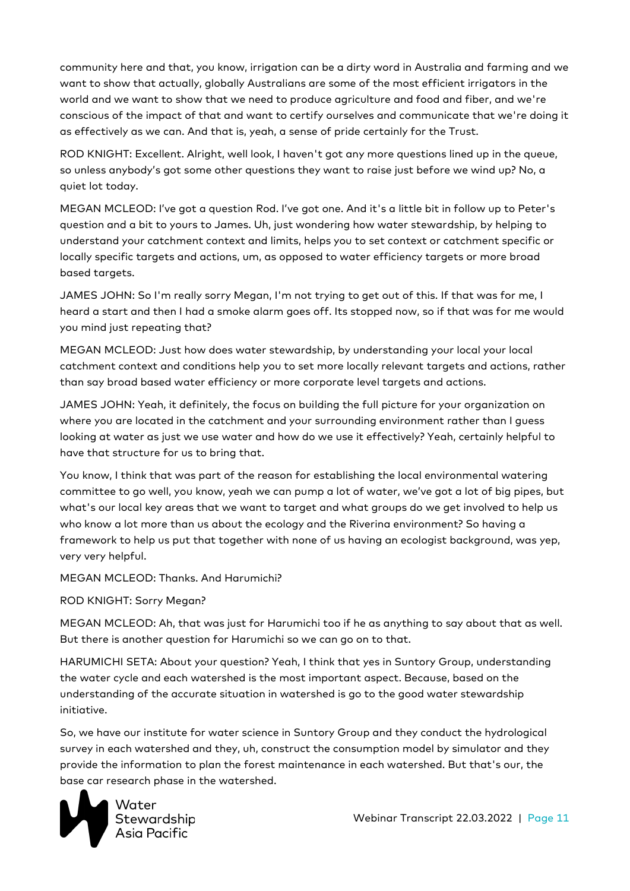community here and that, you know, irrigation can be a dirty word in Australia and farming and we want to show that actually, globally Australians are some of the most efficient irrigators in the world and we want to show that we need to produce agriculture and food and fiber, and we're conscious of the impact of that and want to certify ourselves and communicate that we're doing it as effectively as we can. And that is, yeah, a sense of pride certainly for the Trust.

ROD KNIGHT: Excellent. Alright, well look, I haven't got any more questions lined up in the queue, so unless anybody's got some other questions they want to raise just before we wind up? No, a quiet lot today.

MEGAN MCLEOD: I've got a question Rod. I've got one. And it's a little bit in follow up to Peter's question and a bit to yours to James. Uh, just wondering how water stewardship, by helping to understand your catchment context and limits, helps you to set context or catchment specific or locally specific targets and actions, um, as opposed to water efficiency targets or more broad based targets.

JAMES JOHN: So I'm really sorry Megan, I'm not trying to get out of this. If that was for me, I heard a start and then I had a smoke alarm goes off. Its stopped now, so if that was for me would you mind just repeating that?

MEGAN MCLEOD: Just how does water stewardship, by understanding your local your local catchment context and conditions help you to set more locally relevant targets and actions, rather than say broad based water efficiency or more corporate level targets and actions.

JAMES JOHN: Yeah, it definitely, the focus on building the full picture for your organization on where you are located in the catchment and your surrounding environment rather than I guess looking at water as just we use water and how do we use it effectively? Yeah, certainly helpful to have that structure for us to bring that.

You know, I think that was part of the reason for establishing the local environmental watering committee to go well, you know, yeah we can pump a lot of water, we've got a lot of big pipes, but what's our local key areas that we want to target and what groups do we get involved to help us who know a lot more than us about the ecology and the Riverina environment? So having a framework to help us put that together with none of us having an ecologist background, was yep, very very helpful.

MEGAN MCLEOD: Thanks. And Harumichi?

ROD KNIGHT: Sorry Megan?

MEGAN MCLEOD: Ah, that was just for Harumichi too if he as anything to say about that as well. But there is another question for Harumichi so we can go on to that.

HARUMICHI SETA: About your question? Yeah, I think that yes in Suntory Group, understanding the water cycle and each watershed is the most important aspect. Because, based on the understanding of the accurate situation in watershed is go to the good water stewardship initiative.

So, we have our institute for water science in Suntory Group and they conduct the hydrological survey in each watershed and they, uh, construct the consumption model by simulator and they provide the information to plan the forest maintenance in each watershed. But that's our, the base car research phase in the watershed.



Webinar Transcript 22.03.2022 | Page 11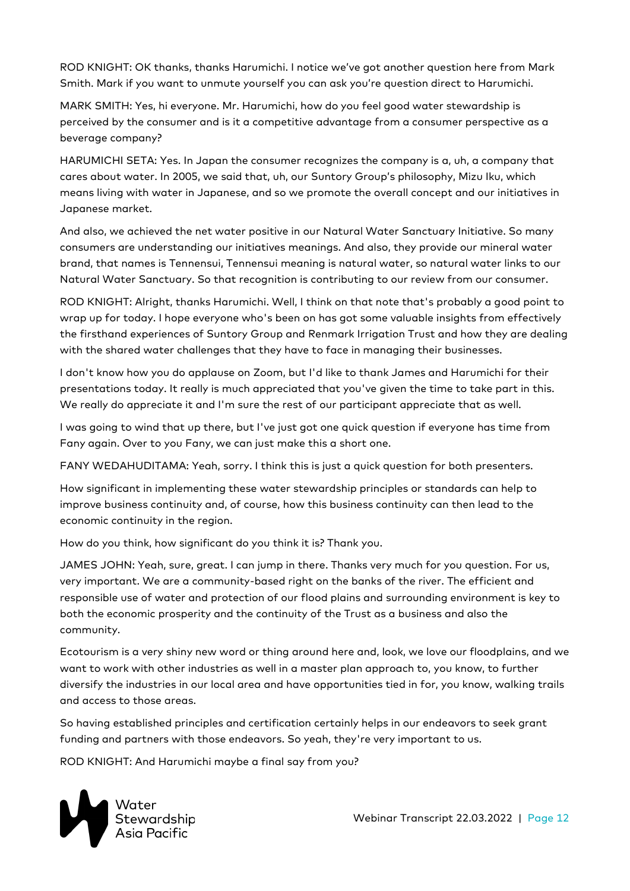ROD KNIGHT: OK thanks, thanks Harumichi. I notice we've got another question here from Mark Smith. Mark if you want to unmute yourself you can ask you're question direct to Harumichi.

MARK SMITH: Yes, hi everyone. Mr. Harumichi, how do you feel good water stewardship is perceived by the consumer and is it a competitive advantage from a consumer perspective as a beverage company?

HARUMICHI SETA: Yes. In Japan the consumer recognizes the company is a, uh, a company that cares about water. In 2005, we said that, uh, our Suntory Group's philosophy, Mizu Iku, which means living with water in Japanese, and so we promote the overall concept and our initiatives in Japanese market.

And also, we achieved the net water positive in our Natural Water Sanctuary Initiative. So many consumers are understanding our initiatives meanings. And also, they provide our mineral water brand, that names is Tennensui, Tennensui meaning is natural water, so natural water links to our Natural Water Sanctuary. So that recognition is contributing to our review from our consumer.

ROD KNIGHT: Alright, thanks Harumichi. Well, I think on that note that's probably a good point to wrap up for today. I hope everyone who's been on has got some valuable insights from effectively the firsthand experiences of Suntory Group and Renmark Irrigation Trust and how they are dealing with the shared water challenges that they have to face in managing their businesses.

I don't know how you do applause on Zoom, but I'd like to thank James and Harumichi for their presentations today. It really is much appreciated that you've given the time to take part in this. We really do appreciate it and I'm sure the rest of our participant appreciate that as well.

I was going to wind that up there, but I've just got one quick question if everyone has time from Fany again. Over to you Fany, we can just make this a short one.

FANY WEDAHUDITAMA: Yeah, sorry. I think this is just a quick question for both presenters.

How significant in implementing these water stewardship principles or standards can help to improve business continuity and, of course, how this business continuity can then lead to the economic continuity in the region.

How do you think, how significant do you think it is? Thank you.

JAMES JOHN: Yeah, sure, great. I can jump in there. Thanks very much for you question. For us, very important. We are a community-based right on the banks of the river. The efficient and responsible use of water and protection of our flood plains and surrounding environment is key to both the economic prosperity and the continuity of the Trust as a business and also the community.

Ecotourism is a very shiny new word or thing around here and, look, we love our floodplains, and we want to work with other industries as well in a master plan approach to, you know, to further diversify the industries in our local area and have opportunities tied in for, you know, walking trails and access to those areas.

So having established principles and certification certainly helps in our endeavors to seek grant funding and partners with those endeavors. So yeah, they're very important to us.

ROD KNIGHT: And Harumichi maybe a final say from you?